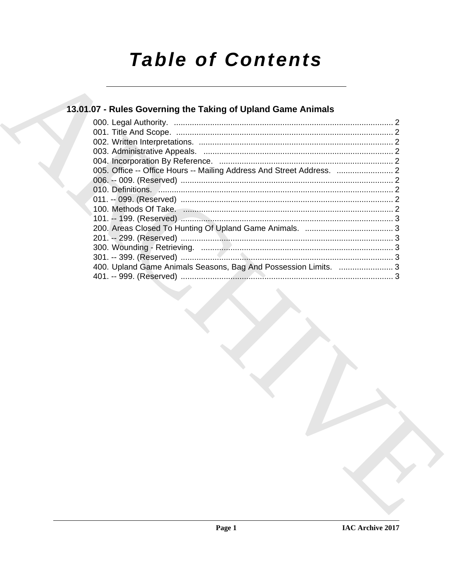# **Table of Contents**

# 13.01.07 - Rules Governing the Taking of Upland Game Animals

| 400. Upland Game Animals Seasons, Bag And Possession Limits.  3 |  |
|-----------------------------------------------------------------|--|
|                                                                 |  |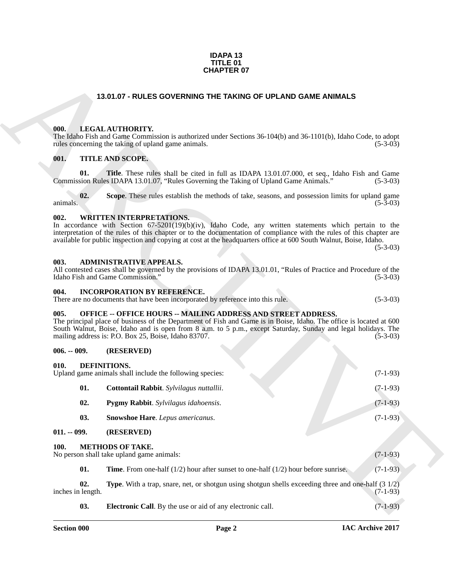#### **IDAPA 13 TITLE 01 CHAPTER 07**

# **13.01.07 - RULES GOVERNING THE TAKING OF UPLAND GAME ANIMALS**

#### <span id="page-1-1"></span><span id="page-1-0"></span>**000. LEGAL AUTHORITY.**

#### <span id="page-1-2"></span>**001. TITLE AND SCOPE.**

#### <span id="page-1-3"></span>**002. WRITTEN INTERPRETATIONS.**

#### <span id="page-1-4"></span>**003. ADMINISTRATIVE APPEALS.**

| All contested cases shall be governed by the provisions of IDAPA 13.01.01, "Rules of Practice and Procedure of the |            |
|--------------------------------------------------------------------------------------------------------------------|------------|
| Idaho Fish and Game Commission."                                                                                   | $(5-3-03)$ |

#### <span id="page-1-5"></span>**004. INCORPORATION BY REFERENCE.**

#### <span id="page-1-6"></span>**005. OFFICE -- OFFICE HOURS -- MAILING ADDRESS AND STREET ADDRESS.**

#### <span id="page-1-7"></span>**006. -- 009. (RESERVED)**

#### <span id="page-1-13"></span><span id="page-1-12"></span><span id="page-1-11"></span><span id="page-1-8"></span>**010. DEFINITIONS.**

#### <span id="page-1-14"></span><span id="page-1-9"></span>**011. -- 099. (RESERVED)**

#### <span id="page-1-18"></span><span id="page-1-17"></span><span id="page-1-16"></span><span id="page-1-15"></span><span id="page-1-10"></span>**100. METHODS OF TAKE.**

| <b>CHAPTER 07</b>        |                                                                                                                                                                                                                                                                                                                                                                                           |            |  |
|--------------------------|-------------------------------------------------------------------------------------------------------------------------------------------------------------------------------------------------------------------------------------------------------------------------------------------------------------------------------------------------------------------------------------------|------------|--|
|                          | 13.01.07 - RULES GOVERNING THE TAKING OF UPLAND GAME ANIMALS                                                                                                                                                                                                                                                                                                                              |            |  |
| 000.                     | LEGAL AUTHORITY.<br>The Idaho Fish and Game Commission is authorized under Sections 36-104(b) and 36-1101(b), Idaho Code, to adopt<br>rules concerning the taking of upland game animals.                                                                                                                                                                                                 | $(5-3-03)$ |  |
| 001.                     | TITLE AND SCOPE.                                                                                                                                                                                                                                                                                                                                                                          |            |  |
| 01.                      | <b>Title</b> . These rules shall be cited in full as IDAPA 13.01.07.000, et seq., Idaho Fish and Game<br>Commission Rules IDAPA 13.01.07, "Rules Governing the Taking of Upland Game Animals."                                                                                                                                                                                            | $(5-3-03)$ |  |
| 02.<br>animals.          | Scope. These rules establish the methods of take, seasons, and possession limits for upland game                                                                                                                                                                                                                                                                                          | $(5-3-03)$ |  |
| 002.                     | <b>WRITTEN INTERPRETATIONS.</b><br>In accordance with Section $67-5201(19)(b)(iv)$ , Idaho Code, any written statements which pertain to the<br>interpretation of the rules of this chapter or to the documentation of compliance with the rules of this chapter are<br>available for public inspection and copying at cost at the headquarters office at 600 South Walnut, Boise, Idaho. | $(5-3-03)$ |  |
| 003.                     | <b>ADMINISTRATIVE APPEALS.</b><br>All contested cases shall be governed by the provisions of IDAPA 13.01.01, "Rules of Practice and Procedure of the<br>Idaho Fish and Game Commission."                                                                                                                                                                                                  | $(5-3-03)$ |  |
| 004.                     | <b>INCORPORATION BY REFERENCE.</b><br>There are no documents that have been incorporated by reference into this rule.                                                                                                                                                                                                                                                                     | $(5-3-03)$ |  |
| 005.                     | <b>OFFICE -- OFFICE HOURS -- MAILING ADDRESS AND STREET ADDRESS.</b><br>The principal place of business of the Department of Fish and Game is in Boise, Idaho. The office is located at 600<br>South Walnut, Boise, Idaho and is open from 8 a.m. to 5 p.m., except Saturday, Sunday and legal holidays. The<br>mailing address is: P.O. Box 25, Boise, Idaho 83707.                      | $(5-3-03)$ |  |
| $006. - 009.$            | (RESERVED)                                                                                                                                                                                                                                                                                                                                                                                |            |  |
| 010.                     | DEFINITIONS.<br>Upland game animals shall include the following species:                                                                                                                                                                                                                                                                                                                  | $(7-1-93)$ |  |
| 01.                      | Cottontail Rabbit. Sylvilagus nuttallii.                                                                                                                                                                                                                                                                                                                                                  | $(7-1-93)$ |  |
| 02.                      | Pygmy Rabbit. Sylvilagus idahoensis.                                                                                                                                                                                                                                                                                                                                                      | $(7-1-93)$ |  |
| 03.                      | Snowshoe Hare. Lepus americanus.                                                                                                                                                                                                                                                                                                                                                          | $(7-1-93)$ |  |
| $011. - 099.$            | (RESERVED)                                                                                                                                                                                                                                                                                                                                                                                |            |  |
| 100.                     | <b>METHODS OF TAKE.</b><br>No person shall take upland game animals:                                                                                                                                                                                                                                                                                                                      | $(7-1-93)$ |  |
| 01.                      | <b>Time.</b> From one-half $(1/2)$ hour after sunset to one-half $(1/2)$ hour before sunrise.                                                                                                                                                                                                                                                                                             | $(7-1-93)$ |  |
| 02.<br>inches in length. | <b>Type</b> . With a trap, snare, net, or shotgun using shotgun shells exceeding three and one-half $(3\ 1/2)$                                                                                                                                                                                                                                                                            | $(7-1-93)$ |  |
| 03.                      | <b>Electronic Call.</b> By the use or aid of any electronic call.                                                                                                                                                                                                                                                                                                                         | $(7-1-93)$ |  |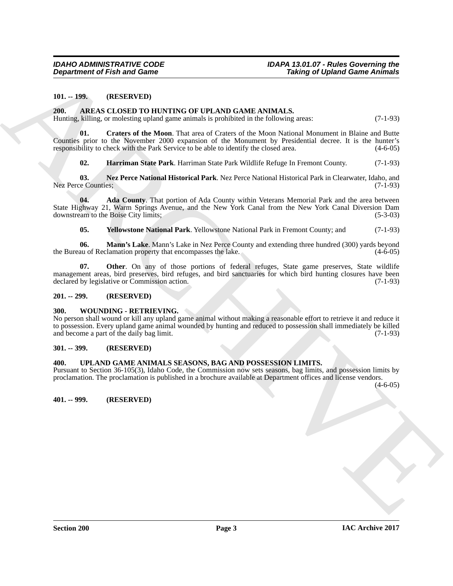#### <span id="page-2-0"></span>**101. -- 199. (RESERVED)**

#### <span id="page-2-7"></span><span id="page-2-1"></span>**200. AREAS CLOSED TO HUNTING OF UPLAND GAME ANIMALS.**

Hunting, killing, or molesting upland game animals is prohibited in the following areas: (7-1-93)

**Department of Frish and Game**<br>
10.1. **29. CENERAL CONSULTING OF UPLAND GAME ANDEALS**<br>
20. **ARCHIVED CONSULTING OF UPLAND GAME ANDEALS**<br>
20. **ARCHIVED CONSULTING OF UPLAND GAME ANDEALS**<br>
20. **CENERAL CONSULTING OF UPLAN 01. Craters of the Moon**. That area of Craters of the Moon National Monument in Blaine and Butte Counties prior to the November 2000 expansion of the Monument by Presidential decree. It is the hunter's responsibility to check with the Park Service to be able to identify the closed area. (4-6-05)

<span id="page-2-12"></span><span id="page-2-10"></span><span id="page-2-9"></span><span id="page-2-8"></span>**02. Harriman State Park**. Harriman State Park Wildlife Refuge In Fremont County. (7-1-93)

**03. Nez Perce National Historical Park**. Nez Perce National Historical Park in Clearwater, Idaho, and Nez Perce Counties:

**04. Ada County**. That portion of Ada County within Veterans Memorial Park and the area between State Highway 21, Warm Springs Avenue, and the New York Canal from the New York Canal Diversion Dam downstream to the Boise City limits: (5-3-03) downstream to the Boise City limits;

<span id="page-2-14"></span><span id="page-2-13"></span><span id="page-2-11"></span>**05. Yellowstone National Park**. Yellowstone National Park in Fremont County; and (7-1-93)

**06.** Mann's Lake. Mann's Lake in Nez Perce County and extending three hundred (300) yards beyond au of Reclamation property that encompasses the lake. (4-6-05) the Bureau of Reclamation property that encompasses the lake.

**07. Other**. On any of those portions of federal refuges, State game preserves, State wildlife management areas, bird preserves, bird refuges, and bird sanctuaries for which bird hunting closures have been declared by legislative or Commission action. (7-1-93) declared by legislative or Commission action.

#### <span id="page-2-2"></span>**201. -- 299. (RESERVED)**

#### <span id="page-2-16"></span><span id="page-2-3"></span>**300. WOUNDING - RETRIEVING.**

No person shall wound or kill any upland game animal without making a reasonable effort to retrieve it and reduce it to possession. Every upland game animal wounded by hunting and reduced to possession shall immediately be killed and become a part of the daily bag limit. (7-1-93)

#### <span id="page-2-4"></span>**301. -- 399. (RESERVED)**

#### <span id="page-2-15"></span><span id="page-2-5"></span>**400. UPLAND GAME ANIMALS SEASONS, BAG AND POSSESSION LIMITS.**

Pursuant to Section 36-105(3), Idaho Code, the Commission now sets seasons, bag limits, and possession limits by proclamation. The proclamation is published in a brochure available at Department offices and license vendors.  $(4-6-05)$ 

<span id="page-2-6"></span>**401. -- 999. (RESERVED)**